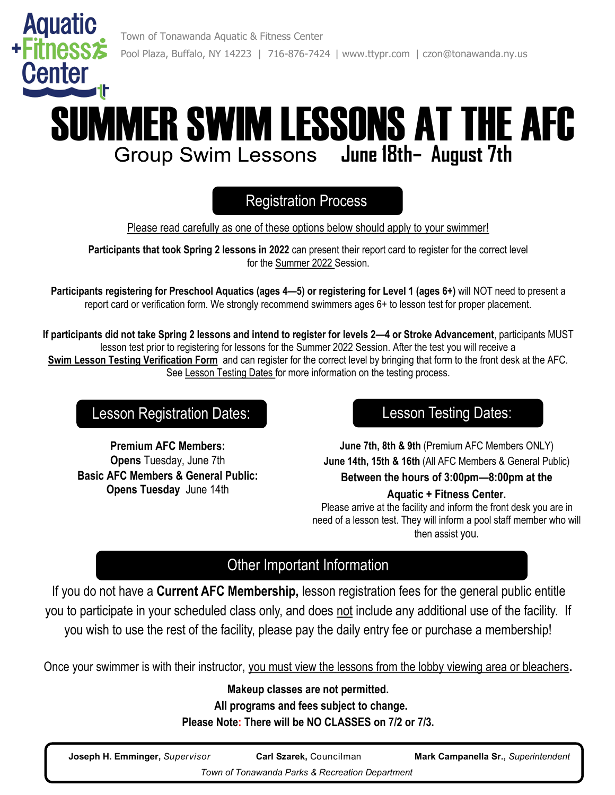

# SUMMER SWIM LESSONS AT THE AFC **June 18th– August 7th**

## Registration Process

Please read carefully as one of these options below should apply to your swimmer!

**Participants that took Spring 2 lessons in 2022** can present their report card to register for the correct level for the Summer 2022 Session.

**Participants registering for Preschool Aquatics (ages 4—5) or registering for Level 1 (ages 6+)** will NOT need to present a report card or verification form. We strongly recommend swimmers ages 6+ to lesson test for proper placement.

**If participants did not take Spring 2 lessons and intend to register for levels 2—4 or Stroke Advancement**, participants MUST lesson test prior to registering for lessons for the Summer 2022 Session. After the test you will receive a **Swim Lesson Testing Verification Form** and can register for the correct level by bringing that form to the front desk at the AFC. See Lesson Testing Dates for more information on the testing process.

### Lesson Registration Dates: Lesson Testing Dates:

**Premium AFC Members: Opens** Tuesday, June 7th **Basic AFC Members & General Public: Opens Tuesday** June 14th

**June 7th, 8th & 9th** (Premium AFC Members ONLY) **June 14th, 15th & 16th** (All AFC Members & General Public) **Between the hours of 3:00pm—8:00pm at the** 

#### **Aquatic + Fitness Center.**

Please arrive at the facility and inform the front desk you are in need of a lesson test. They will inform a pool staff member who will then assist you.

### Other Important Information

If you do not have a **Current AFC Membership,** lesson registration fees for the general public entitle you to participate in your scheduled class only, and does not include any additional use of the facility. If you wish to use the rest of the facility, please pay the daily entry fee or purchase a membership!

Once your swimmer is with their instructor, you must view the lessons from the lobby viewing area or bleachers**.**

**Makeup classes are not permitted. All programs and fees subject to change. Please Note: There will be NO CLASSES on 7/2 or 7/3.**

| Joseph H. Emminger, Supervisor                  | <b>Carl Szarek, Councilman</b> | Mark Campanella Sr., Superintendent |  |  |  |  |  |  |
|-------------------------------------------------|--------------------------------|-------------------------------------|--|--|--|--|--|--|
| Town of Tonawanda Parks & Recreation Department |                                |                                     |  |  |  |  |  |  |